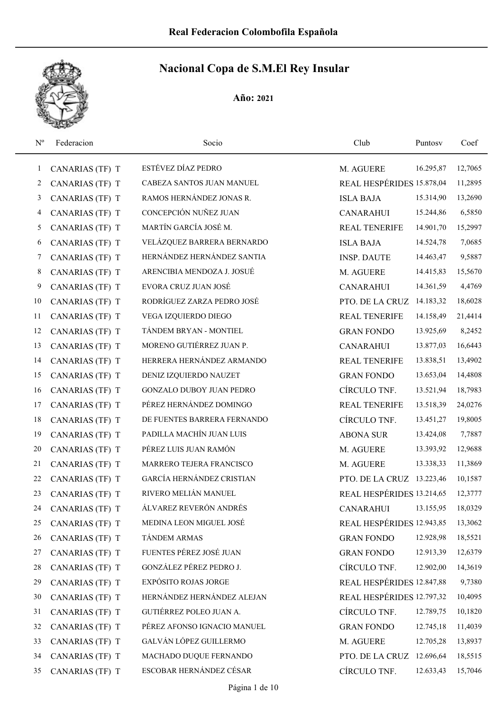

| $N^{o}$      | Federacion      | Socio                       | Club                      | Puntosy   | Coef    |
|--------------|-----------------|-----------------------------|---------------------------|-----------|---------|
| $\mathbf{1}$ | CANARIAS (TF) T | ESTÉVEZ DÍAZ PEDRO          | M. AGUERE                 | 16.295,87 | 12,7065 |
| 2            | CANARIAS (TF) T | CABEZA SANTOS JUAN MANUEL   | REAL HESPÉRIDES 15.878,04 |           | 11,2895 |
| 3            | CANARIAS (TF) T | RAMOS HERNÁNDEZ JONAS R.    | <b>ISLA BAJA</b>          | 15.314,90 | 13,2690 |
| 4            | CANARIAS (TF) T | CONCEPCIÓN NUÑEZ JUAN       | <b>CANARAHUI</b>          | 15.244,86 | 6,5850  |
| 5            | CANARIAS (TF) T | MARTÍN GARCÍA JOSÉ M.       | <b>REAL TENERIFE</b>      | 14.901,70 | 15,2997 |
| 6            | CANARIAS (TF) T | VELÁZQUEZ BARRERA BERNARDO  | <b>ISLA BAJA</b>          | 14.524,78 | 7,0685  |
| 7            | CANARIAS (TF) T | HERNÁNDEZ HERNÁNDEZ SANTIA  | <b>INSP. DAUTE</b>        | 14.463,47 | 9,5887  |
| 8            | CANARIAS (TF) T | ARENCIBIA MENDOZA J. JOSUÉ  | M. AGUERE                 | 14.415,83 | 15,5670 |
| 9            | CANARIAS (TF) T | EVORA CRUZ JUAN JOSÉ        | <b>CANARAHUI</b>          | 14.361,59 | 4,4769  |
| 10           | CANARIAS (TF) T | RODRÍGUEZ ZARZA PEDRO JOSÉ  | PTO. DE LA CRUZ           | 14.183,32 | 18,6028 |
| 11           | CANARIAS (TF) T | VEGA IZQUIERDO DIEGO        | <b>REAL TENERIFE</b>      | 14.158,49 | 21,4414 |
| 12           | CANARIAS (TF) T | TÁNDEM BRYAN - MONTIEL      | <b>GRAN FONDO</b>         | 13.925,69 | 8,2452  |
| 13           | CANARIAS (TF) T | MORENO GUTIÉRREZ JUAN P.    | <b>CANARAHUI</b>          | 13.877,03 | 16,6443 |
| 14           | CANARIAS (TF) T | HERRERA HERNÁNDEZ ARMANDO   | <b>REAL TENERIFE</b>      | 13.838,51 | 13,4902 |
| 15           | CANARIAS (TF) T | DENIZ IZQUIERDO NAUZET      | <b>GRAN FONDO</b>         | 13.653,04 | 14,4808 |
| 16           | CANARIAS (TF) T | GONZALO DUBOY JUAN PEDRO    | CÍRCULO TNF.              | 13.521,94 | 18,7983 |
| 17           | CANARIAS (TF) T | PÉREZ HERNÁNDEZ DOMINGO     | <b>REAL TENERIFE</b>      | 13.518,39 | 24,0276 |
| 18           | CANARIAS (TF) T | DE FUENTES BARRERA FERNANDO | CÍRCULO TNF.              | 13.451,27 | 19,8005 |
| 19           | CANARIAS (TF) T | PADILLA MACHÍN JUAN LUIS    | <b>ABONA SUR</b>          | 13.424,08 | 7,7887  |
| 20           | CANARIAS (TF) T | PÉREZ LUIS JUAN RAMÓN       | M. AGUERE                 | 13.393,92 | 12,9688 |
| 21           | CANARIAS (TF) T | MARRERO TEJERA FRANCISCO    | M. AGUERE                 | 13.338,33 | 11,3869 |
| 22           | CANARIAS (TF) T | GARCÍA HERNÁNDEZ CRISTIAN   | PTO. DE LA CRUZ 13.223,46 |           | 10,1587 |
| 23           | CANARIAS (TF) T | RIVERO MELIÁN MANUEL        | REAL HESPÉRIDES 13.214,65 |           | 12,3777 |
| 24           | CANARIAS (TF) T | ÁLVAREZ REVERÓN ANDRÉS      | <b>CANARAHUI</b>          | 13.155,95 | 18,0329 |
| 25           | CANARIAS (TF) T | MEDINA LEON MIGUEL JOSÉ     | REAL HESPÉRIDES 12.943,85 |           | 13,3062 |
| 26           | CANARIAS (TF) T | TÁNDEM ARMAS                | <b>GRAN FONDO</b>         | 12.928,98 | 18,5521 |
| 27           | CANARIAS (TF) T | FUENTES PÉREZ JOSÉ JUAN     | <b>GRAN FONDO</b>         | 12.913,39 | 12,6379 |
| 28           | CANARIAS (TF) T | GONZÁLEZ PÉREZ PEDRO J.     | CÍRCULO TNF.              | 12.902,00 | 14,3619 |
| 29           | CANARIAS (TF) T | EXPÓSITO ROJAS JORGE        | REAL HESPÉRIDES 12.847,88 |           | 9,7380  |
| 30           | CANARIAS (TF) T | HERNÁNDEZ HERNÁNDEZ ALEJAN  | REAL HESPÉRIDES 12.797,32 |           | 10,4095 |
| 31           | CANARIAS (TF) T | GUTIÉRREZ POLEO JUAN A.     | CÍRCULO TNF.              | 12.789,75 | 10,1820 |
| 32           | CANARIAS (TF) T | PÉREZ AFONSO IGNACIO MANUEL | <b>GRAN FONDO</b>         | 12.745,18 | 11,4039 |
| 33           | CANARIAS (TF) T | GALVÁN LÓPEZ GUILLERMO      | M. AGUERE                 | 12.705,28 | 13,8937 |
| 34           | CANARIAS (TF) T | MACHADO DUQUE FERNANDO      | PTO. DE LA CRUZ           | 12.696,64 | 18,5515 |
| 35           | CANARIAS (TF) T | ESCOBAR HERNÁNDEZ CÉSAR     | CÍRCULO TNF.              | 12.633,43 | 15,7046 |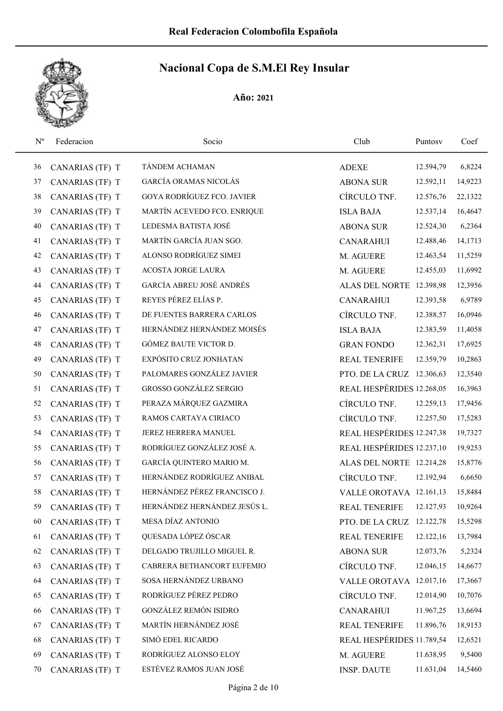

| $N^{o}$ | Federacion      | Socio                             | Club                      | Puntosy   | Coef    |
|---------|-----------------|-----------------------------------|---------------------------|-----------|---------|
| 36      | CANARIAS (TF) T | TÁNDEM ACHAMAN                    | <b>ADEXE</b>              | 12.594,79 | 6,8224  |
| 37      | CANARIAS (TF) T | <b>GARCÍA ORAMAS NICOLÁS</b>      | <b>ABONA SUR</b>          | 12.592,11 | 14,9223 |
| 38      | CANARIAS (TF) T | <b>GOYA RODRÍGUEZ FCO. JAVIER</b> | CÍRCULO TNF.              | 12.576,76 | 22,1322 |
| 39      | CANARIAS (TF) T | MARTÍN ACEVEDO FCO. ENRIQUE       | <b>ISLA BAJA</b>          | 12.537,14 | 16,4647 |
| 40      | CANARIAS (TF) T | LEDESMA BATISTA JOSÉ              | <b>ABONA SUR</b>          | 12.524,30 | 6,2364  |
| 41      | CANARIAS (TF) T | MARTÍN GARCÍA JUAN SGO.           | <b>CANARAHUI</b>          | 12.488,46 | 14,1713 |
| 42      | CANARIAS (TF) T | ALONSO RODRÍGUEZ SIMEI            | M. AGUERE                 | 12.463,54 | 11,5259 |
| 43      | CANARIAS (TF) T | <b>ACOSTA JORGE LAURA</b>         | M. AGUERE                 | 12.455,03 | 11,6992 |
| 44      | CANARIAS (TF) T | GARCÍA ABREU JOSÉ ANDRÉS          | ALAS DEL NORTE 12.398,98  |           | 12,3956 |
| 45      | CANARIAS (TF) T | REYES PÉREZ ELÍAS P.              | <b>CANARAHUI</b>          | 12.393,58 | 6,9789  |
| 46      | CANARIAS (TF) T | DE FUENTES BARRERA CARLOS         | CÍRCULO TNF.              | 12.388,57 | 16,0946 |
| 47      | CANARIAS (TF) T | HERNÁNDEZ HERNÁNDEZ MOISÉS        | <b>ISLA BAJA</b>          | 12.383,59 | 11,4058 |
| 48      | CANARIAS (TF) T | GÓMEZ BAUTE VICTOR D.             | <b>GRAN FONDO</b>         | 12.362,31 | 17,6925 |
| 49      | CANARIAS (TF) T | EXPÓSITO CRUZ JONHATAN            | <b>REAL TENERIFE</b>      | 12.359,79 | 10,2863 |
| 50      | CANARIAS (TF) T | PALOMARES GONZÁLEZ JAVIER         | PTO. DE LA CRUZ 12.306,63 |           | 12,3540 |
| 51      | CANARIAS (TF) T | <b>GROSSO GONZÁLEZ SERGIO</b>     | REAL HESPÉRIDES 12.268,05 |           | 16,3963 |
| 52      | CANARIAS (TF) T | PERAZA MÁRQUEZ GAZMIRA            | CÍRCULO TNF.              | 12.259,13 | 17,9456 |
| 53      | CANARIAS (TF) T | RAMOS CARTAYA CIRIACO             | CÍRCULO TNF.              | 12.257,50 | 17,5283 |
| 54      | CANARIAS (TF) T | JEREZ HERRERA MANUEL              | REAL HESPÉRIDES 12.247,38 |           | 19,7327 |
| 55      | CANARIAS (TF) T | RODRÍGUEZ GONZÁLEZ JOSÉ A.        | REAL HESPÉRIDES 12.237,10 |           | 19,9253 |
| 56      | CANARIAS (TF) T | GARCÍA QUINTERO MARIO M.          | ALAS DEL NORTE 12.214,28  |           | 15,8776 |
| 57      | CANARIAS (TF) T | HERNÁNDEZ RODRÍGUEZ ANIBAL        | CÍRCULO TNF.              | 12.192,94 | 6,6650  |
| 58      | CANARIAS (TF) T | HERNÁNDEZ PÉREZ FRANCISCO J.      | VALLE OROTAVA 12.161,13   |           | 15,8484 |
| 59      | CANARIAS (TF) T | HERNÁNDEZ HERNÁNDEZ JESÚS L.      | <b>REAL TENERIFE</b>      | 12.127,93 | 10,9264 |
| 60      | CANARIAS (TF) T | MESA DÍAZ ANTONIO                 | PTO. DE LA CRUZ 12.122,78 |           | 15,5298 |
| 61      | CANARIAS (TF) T | QUESADA LÓPEZ ÓSCAR               | <b>REAL TENERIFE</b>      | 12.122,16 | 13,7984 |
| 62      | CANARIAS (TF) T | DELGADO TRUJILLO MIGUEL R.        | <b>ABONA SUR</b>          | 12.073,76 | 5,2324  |
| 63      | CANARIAS (TF) T | CABRERA BETHANCORT EUFEMIO        | CÍRCULO TNF.              | 12.046,15 | 14,6677 |
| 64      | CANARIAS (TF) T | SOSA HERNÁNDEZ URBANO             | VALLE OROTAVA 12.017,16   |           | 17,3667 |
| 65      | CANARIAS (TF) T | RODRÍGUEZ PÉREZ PEDRO             | CÍRCULO TNF.              | 12.014,90 | 10,7076 |
| 66      | CANARIAS (TF) T | <b>GONZÁLEZ REMÓN ISIDRO</b>      | <b>CANARAHUI</b>          | 11.967,25 | 13,6694 |
| 67      | CANARIAS (TF) T | MARTÍN HERNÁNDEZ JOSÉ             | <b>REAL TENERIFE</b>      | 11.896,76 | 18,9153 |
| 68      | CANARIAS (TF) T | SIMÓ EDEL RICARDO                 | REAL HESPÉRIDES 11.789,54 |           | 12,6521 |
| 69      | CANARIAS (TF) T | RODRÍGUEZ ALONSO ELOY             | M. AGUERE                 | 11.638,95 | 9,5400  |
| 70      | CANARIAS (TF) T | ESTÉVEZ RAMOS JUAN JOSÉ           | <b>INSP. DAUTE</b>        | 11.631,04 | 14,5460 |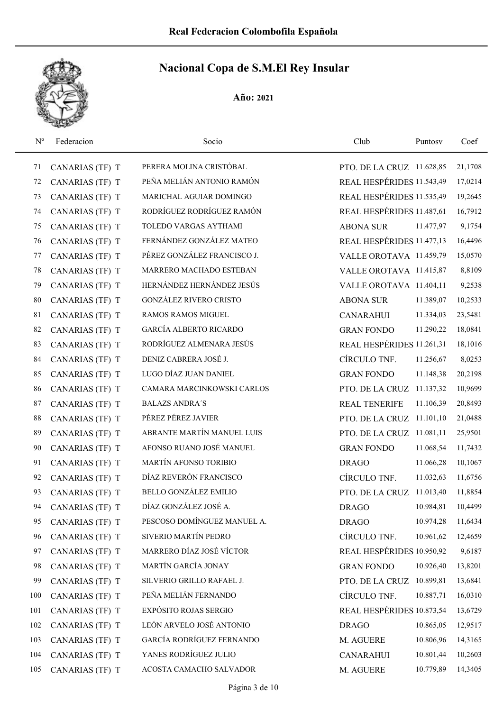

| $N^{\rm o}$ | Federacion      | Socio                         | Club                      | Puntosv   | Coef    |
|-------------|-----------------|-------------------------------|---------------------------|-----------|---------|
| 71          | CANARIAS (TF) T | PERERA MOLINA CRISTÓBAL       | PTO. DE LA CRUZ 11.628,85 |           | 21,1708 |
| 72          | CANARIAS (TF) T | PEÑA MELIÁN ANTONIO RAMÓN     | REAL HESPÉRIDES 11.543,49 |           | 17,0214 |
| 73          | CANARIAS (TF) T | MARICHAL AGUIAR DOMINGO       | REAL HESPÉRIDES 11.535,49 |           | 19,2645 |
| 74          | CANARIAS (TF) T | RODRÍGUEZ RODRÍGUEZ RAMÓN     | REAL HESPÉRIDES 11.487,61 |           | 16,7912 |
| 75          | CANARIAS (TF) T | TOLEDO VARGAS AYTHAMI         | <b>ABONA SUR</b>          | 11.477,97 | 9,1754  |
| 76          | CANARIAS (TF) T | FERNÁNDEZ GONZÁLEZ MATEO      | REAL HESPÉRIDES 11.477,13 |           | 16,4496 |
| 77          | CANARIAS (TF) T | PÉREZ GONZÁLEZ FRANCISCO J.   | VALLE OROTAVA 11.459,79   |           | 15,0570 |
| 78          | CANARIAS (TF) T | MARRERO MACHADO ESTEBAN       | VALLE OROTAVA 11.415,87   |           | 8,8109  |
| 79          | CANARIAS (TF) T | HERNÁNDEZ HERNÁNDEZ JESÚS     | VALLE OROTAVA 11.404,11   |           | 9,2538  |
| 80          | CANARIAS (TF) T | <b>GONZÁLEZ RIVERO CRISTO</b> | <b>ABONA SUR</b>          | 11.389,07 | 10,2533 |
| 81          | CANARIAS (TF) T | <b>RAMOS RAMOS MIGUEL</b>     | <b>CANARAHUI</b>          | 11.334,03 | 23,5481 |
| 82          | CANARIAS (TF) T | <b>GARCÍA ALBERTO RICARDO</b> | <b>GRAN FONDO</b>         | 11.290,22 | 18,0841 |
| 83          | CANARIAS (TF) T | RODRÍGUEZ ALMENARA JESÚS      | REAL HESPÉRIDES 11.261,31 |           | 18,1016 |
| 84          | CANARIAS (TF) T | DENIZ CABRERA JOSÉ J.         | CÍRCULO TNF.              | 11.256,67 | 8,0253  |
| 85          | CANARIAS (TF) T | LUGO DÍAZ JUAN DANIEL         | <b>GRAN FONDO</b>         | 11.148,38 | 20,2198 |
| 86          | CANARIAS (TF) T | CAMARA MARCINKOWSKI CARLOS    | PTO. DE LA CRUZ 11.137,32 |           | 10,9699 |
| 87          | CANARIAS (TF) T | <b>BALAZS ANDRA'S</b>         | <b>REAL TENERIFE</b>      | 11.106,39 | 20,8493 |
| 88          | CANARIAS (TF) T | PÉREZ PÉREZ JAVIER            | PTO. DE LA CRUZ 11.101,10 |           | 21,0488 |
| 89          | CANARIAS (TF) T | ABRANTE MARTÍN MANUEL LUIS    | PTO. DE LA CRUZ 11.081,11 |           | 25,9501 |
| 90          | CANARIAS (TF) T | AFONSO RUANO JOSÉ MANUEL      | <b>GRAN FONDO</b>         | 11.068,54 | 11,7432 |
| 91          | CANARIAS (TF) T | MARTÍN AFONSO TORIBIO         | <b>DRAGO</b>              | 11.066,28 | 10,1067 |
| 92          | CANARIAS (TF) T | DÍAZ REVERÓN FRANCISCO        | CÍRCULO TNF.              | 11.032,63 | 11,6756 |
| 93          | CANARIAS (TF) T | <b>BELLO GONZÁLEZ EMILIO</b>  | PTO. DE LA CRUZ 11.013,40 |           | 11,8854 |
| 94          | CANARIAS (TF) T | DÍAZ GONZÁLEZ JOSÉ A.         | <b>DRAGO</b>              | 10.984,81 | 10,4499 |
| 95          | CANARIAS (TF) T | PESCOSO DOMÍNGUEZ MANUEL A.   | <b>DRAGO</b>              | 10.974,28 | 11,6434 |
| 96          | CANARIAS (TF) T | SIVERIO MARTÍN PEDRO          | CÍRCULO TNF.              | 10.961,62 | 12,4659 |
| 97          | CANARIAS (TF) T | MARRERO DÍAZ JOSÉ VÍCTOR      | REAL HESPÉRIDES 10.950,92 |           | 9,6187  |
| 98          | CANARIAS (TF) T | MARTÍN GARCÍA JONAY           | <b>GRAN FONDO</b>         | 10.926,40 | 13,8201 |
| 99          | CANARIAS (TF) T | SILVERIO GRILLO RAFAEL J.     | PTO. DE LA CRUZ 10.899,81 |           | 13,6841 |
| 100         | CANARIAS (TF) T | PEÑA MELIÁN FERNANDO          | CÍRCULO TNF.              | 10.887,71 | 16,0310 |
| 101         | CANARIAS (TF) T | EXPÓSITO ROJAS SERGIO         | REAL HESPÉRIDES 10.873,54 |           | 13,6729 |
| 102         | CANARIAS (TF) T | LEÓN ARVELO JOSÉ ANTONIO      | <b>DRAGO</b>              | 10.865,05 | 12,9517 |
| 103         | CANARIAS (TF) T | GARCÍA RODRÍGUEZ FERNANDO     | M. AGUERE                 | 10.806,96 | 14,3165 |
| 104         | CANARIAS (TF) T | YANES RODRÍGUEZ JULIO         | <b>CANARAHUI</b>          | 10.801,44 | 10,2603 |
| 105         | CANARIAS (TF) T | ACOSTA CAMACHO SALVADOR       | M. AGUERE                 | 10.779,89 | 14,3405 |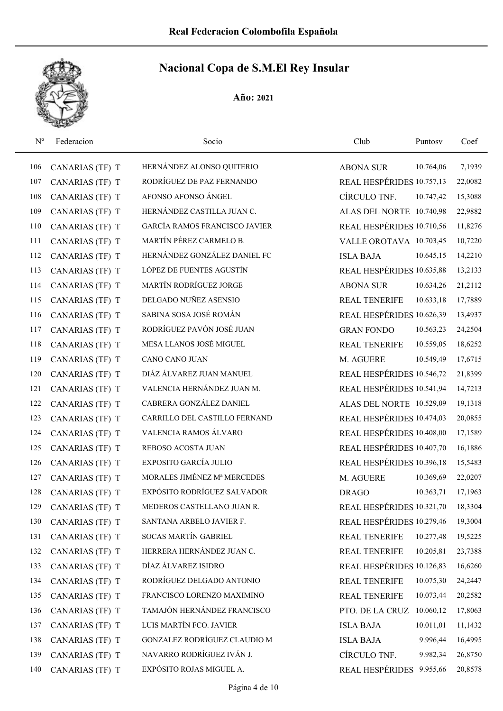

| $N^{o}$ | Federacion      | Socio                                | Club                      | Puntosv   | Coef    |
|---------|-----------------|--------------------------------------|---------------------------|-----------|---------|
| 106     | CANARIAS (TF) T | HERNÁNDEZ ALONSO QUITERIO            | <b>ABONA SUR</b>          | 10.764,06 | 7,1939  |
| 107     | CANARIAS (TF) T | RODRÍGUEZ DE PAZ FERNANDO            | REAL HESPÉRIDES 10.757,13 |           | 22,0082 |
| 108     | CANARIAS (TF) T | AFONSO AFONSO ÁNGEL                  | CÍRCULO TNF.              | 10.747,42 | 15,3088 |
| 109     | CANARIAS (TF) T | HERNÁNDEZ CASTILLA JUAN C.           | ALAS DEL NORTE 10.740,98  |           | 22,9882 |
| 110     | CANARIAS (TF) T | <b>GARCÍA RAMOS FRANCISCO JAVIER</b> | REAL HESPÉRIDES 10.710,56 |           | 11,8276 |
| 111     | CANARIAS (TF) T | MARTÍN PÉREZ CARMELO B.              | VALLE OROTAVA 10.703,45   |           | 10,7220 |
| 112     | CANARIAS (TF) T | HERNÁNDEZ GONZÁLEZ DANIEL FC         | <b>ISLA BAJA</b>          | 10.645,15 | 14,2210 |
| 113     | CANARIAS (TF) T | LÓPEZ DE FUENTES AGUSTÍN             | REAL HESPÉRIDES 10.635,88 |           | 13,2133 |
| 114     | CANARIAS (TF) T | MARTÍN RODRÍGUEZ JORGE               | <b>ABONA SUR</b>          | 10.634,26 | 21,2112 |
| 115     | CANARIAS (TF) T | DELGADO NUÑEZ ASENSIO                | <b>REAL TENERIFE</b>      | 10.633,18 | 17,7889 |
| 116     | CANARIAS (TF) T | SABINA SOSA JOSÉ ROMÁN               | REAL HESPÉRIDES 10.626,39 |           | 13,4937 |
| 117     | CANARIAS (TF) T | RODRÍGUEZ PAVÓN JOSÉ JUAN            | <b>GRAN FONDO</b>         | 10.563,23 | 24,2504 |
| 118     | CANARIAS (TF) T | MESA LLANOS JOSÉ MIGUEL              | <b>REAL TENERIFE</b>      | 10.559,05 | 18,6252 |
| 119     | CANARIAS (TF) T | <b>CANO CANO JUAN</b>                | M. AGUERE                 | 10.549,49 | 17,6715 |
| 120     | CANARIAS (TF) T | DIÁZ ÁLVAREZ JUAN MANUEL             | REAL HESPÉRIDES 10.546,72 |           | 21,8399 |
| 121     | CANARIAS (TF) T | VALENCIA HERNÁNDEZ JUAN M.           | REAL HESPÉRIDES 10.541,94 |           | 14,7213 |
| 122     | CANARIAS (TF) T | CABRERA GONZÁLEZ DANIEL              | ALAS DEL NORTE 10.529,09  |           | 19,1318 |
| 123     | CANARIAS (TF) T | CARRILLO DEL CASTILLO FERNAND        | REAL HESPÉRIDES 10.474,03 |           | 20,0855 |
| 124     | CANARIAS (TF) T | VALENCIA RAMOS ÁLVARO                | REAL HESPÉRIDES 10.408,00 |           | 17,1589 |
| 125     | CANARIAS (TF) T | REBOSO ACOSTA JUAN                   | REAL HESPÉRIDES 10.407,70 |           | 16,1886 |
| 126     | CANARIAS (TF) T | EXPOSITO GARCÍA JULIO                | REAL HESPÉRIDES 10.396,18 |           | 15,5483 |
| 127     | CANARIAS (TF) T | MORALES JIMÉNEZ Mª MERCEDES          | M. AGUERE                 | 10.369,69 | 22,0207 |
| 128     | CANARIAS (TF) T | EXPÓSITO RODRÍGUEZ SALVADOR          | <b>DRAGO</b>              | 10.363,71 | 17,1963 |
| 129     | CANARIAS (TF) T | MEDEROS CASTELLANO JUAN R.           | REAL HESPÉRIDES 10.321,70 |           | 18,3304 |
| 130     | CANARIAS (TF) T | SANTANA ARBELO JAVIER F.             | REAL HESPÉRIDES 10.279,46 |           | 19,3004 |
| 131     | CANARIAS (TF) T | SOCAS MARTÍN GABRIEL                 | <b>REAL TENERIFE</b>      | 10.277,48 | 19,5225 |
| 132     | CANARIAS (TF) T | HERRERA HERNÁNDEZ JUAN C.            | REAL TENERIFE             | 10.205,81 | 23,7388 |
| 133     | CANARIAS (TF) T | DÍAZ ÁLVAREZ ISIDRO                  | REAL HESPÉRIDES 10.126,83 |           | 16,6260 |
| 134     | CANARIAS (TF) T | RODRÍGUEZ DELGADO ANTONIO            | <b>REAL TENERIFE</b>      | 10.075,30 | 24,2447 |
| 135     | CANARIAS (TF) T | FRANCISCO LORENZO MAXIMINO           | <b>REAL TENERIFE</b>      | 10.073,44 | 20,2582 |
| 136     | CANARIAS (TF) T | TAMAJÓN HERNÁNDEZ FRANCISCO          | PTO. DE LA CRUZ 10.060,12 |           | 17,8063 |
| 137     | CANARIAS (TF) T | LUIS MARTÍN FCO. JAVIER              | <b>ISLA BAJA</b>          | 10.011,01 | 11,1432 |
| 138     | CANARIAS (TF) T | GONZALEZ RODRÍGUEZ CLAUDIO M         | <b>ISLA BAJA</b>          | 9.996,44  | 16,4995 |
| 139     | CANARIAS (TF) T | NAVARRO RODRÍGUEZ IVÁN J.            | CÍRCULO TNF.              | 9.982,34  | 26,8750 |
| 140     | CANARIAS (TF) T | EXPÓSITO ROJAS MIGUEL A.             | REAL HESPÉRIDES 9.955,66  |           | 20,8578 |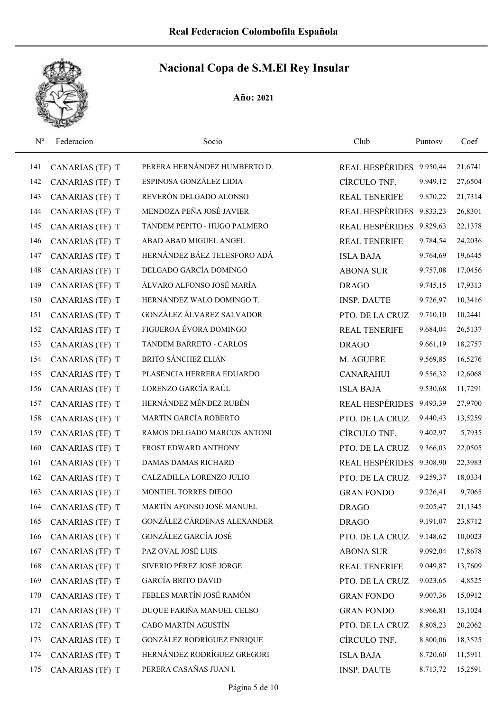| $N^{o}$ | Federacion      | Socio                        | Club                     | Puntosy  | Coef    |
|---------|-----------------|------------------------------|--------------------------|----------|---------|
| 141     | CANARIAS (TF) T | PERERA HERNÁNDEZ HUMBERTO D. | REAL HESPÉRIDES 9.950,44 |          | 21,6741 |
| 142     | CANARIAS (TF) T | ESPINOSA GONZÁLEZ LIDIA      | CÍRCULO TNF.             | 9.949,12 | 27,6504 |
| 143     | CANARIAS (TF) T | REVERÓN DELGADO ALONSO       | <b>REAL TENERIFE</b>     | 9.870,22 | 21,7314 |
| 144     | CANARIAS (TF) T | MENDOZA PEÑA JOSÉ JAVIER     | REAL HESPÉRIDES 9.833,23 |          | 26,8301 |
| 145     | CANARIAS (TF) T | TÁNDEM PEPITO - HUGO PALMERO | REAL HESPÉRIDES 9.829,63 |          | 22,1378 |
| 146     | CANARIAS (TF) T | ABAD ABAD MIGUEL ANGEL       | <b>REAL TENERIFE</b>     | 9.784,54 | 24,2036 |
| 147     | CANARIAS (TF) T | HERNÁNDEZ BÁEZ TELESFORO ADÁ | <b>ISLA BAJA</b>         | 9.764,69 | 19,6445 |
| 148     | CANARIAS (TF) T | DELGADO GARCÍA DOMINGO       | <b>ABONA SUR</b>         | 9.757,08 | 17,0456 |
| 149     | CANARIAS (TF) T | ÁLVARO ALFONSO JOSÉ MARÍA    | <b>DRAGO</b>             | 9.745,15 | 17,9313 |
| 150     | CANARIAS (TF) T | HERNÁNDEZ WALO DOMINGO T.    | <b>INSP. DAUTE</b>       | 9.726,97 | 10,3416 |
| 151     | CANARIAS (TF) T | GONZÁLEZ ÁLVAREZ SALVADOR    | PTO. DE LA CRUZ          | 9.710,10 | 10,2441 |
| 152     | CANARIAS (TF) T | FIGUEROA ÉVORA DOMINGO       | <b>REAL TENERIFE</b>     | 9.684,04 | 26,5137 |
| 153     | CANARIAS (TF) T | TÁNDEM BARRETO - CARLOS      | <b>DRAGO</b>             | 9.661,19 | 18,2757 |
| 154     | CANARIAS (TF) T | <b>BRITO SÁNCHEZ ELIÁN</b>   | M. AGUERE                | 9.569,85 | 16,5276 |
| 155     | CANARIAS (TF) T | PLASENCIA HERRERA EDUARDO    | <b>CANARAHUI</b>         | 9.556,32 | 12,6068 |
| 156     | CANARIAS (TF) T | LORENZO GARCÍA RAÚL          | <b>ISLA BAJA</b>         | 9.530,68 | 11,7291 |
| 157     | CANARIAS (TF) T | HERNÁNDEZ MÉNDEZ RUBÉN       | <b>REAL HESPÉRIDES</b>   | 9.493,39 | 27,9700 |
| 158     | CANARIAS (TF) T | MARTÍN GARCÍA ROBERTO        | PTO. DE LA CRUZ          | 9.440,43 | 13,5259 |
| 159     | CANARIAS (TF) T | RAMOS DELGADO MARCOS ANTONI  | CÍRCULO TNF.             | 9.402,97 | 5,7935  |
| 160     | CANARIAS (TF) T | FROST EDWARD ANTHONY         | PTO. DE LA CRUZ          | 9.366,03 | 22,0505 |
| 161     | CANARIAS (TF) T | DAMAS DAMAS RICHARD          | <b>REAL HESPÉRIDES</b>   | 9.308,90 | 22,3983 |
| 162     | CANARIAS (TF) T | CALZADILLA LORENZO JULIO     | PTO. DE LA CRUZ          | 9.259,37 | 18,0334 |
| 163     | CANARIAS (TF) T | MONTIEL TORRES DIEGO         | <b>GRAN FONDO</b>        | 9.226,41 | 9,7065  |
| 164     | CANARIAS (TF) T | MARTÍN AFONSO JOSÉ MANUEL    | <b>DRAGO</b>             | 9.205,47 | 21,1345 |
| 165     | CANARIAS (TF) T | GONZÁLEZ CÁRDENAS ALEXANDER  | <b>DRAGO</b>             | 9.191,07 | 23,8712 |
| 166     | CANARIAS (TF) T | GONZÁLEZ GARCÍA JOSÉ         | PTO. DE LA CRUZ          | 9.148,62 | 10,0023 |
| 167     | CANARIAS (TF) T | PAZ OVAL JOSÉ LUIS           | <b>ABONA SUR</b>         | 9.092,04 | 17,8678 |
| 168     | CANARIAS (TF) T | SIVERIO PÉREZ JOSÉ JORGE     | <b>REAL TENERIFE</b>     | 9.049,87 | 13,7609 |
| 169     | CANARIAS (TF) T | <b>GARCÍA BRITO DAVID</b>    | PTO. DE LA CRUZ          | 9.023,65 | 4,8525  |
| 170     | CANARIAS (TF) T | FEBLES MARTÍN JOSÉ RAMÓN     | <b>GRAN FONDO</b>        | 9.007,36 | 15,0912 |
| 171     | CANARIAS (TF) T | DUQUE FARIÑA MANUEL CELSO    | <b>GRAN FONDO</b>        | 8.966,81 | 13,1024 |
| 172     | CANARIAS (TF) T | CABO MARTÍN AGUSTÍN          | PTO. DE LA CRUZ          | 8.808,23 | 20,2062 |
| 173     | CANARIAS (TF) T | GONZÁLEZ RODRÍGUEZ ENRIQUE   | CÍRCULO TNF.             | 8.800,06 | 18,3525 |
| 174     | CANARIAS (TF) T | HERNÁNDEZ RODRÍGUEZ GREGORI  | <b>ISLA BAJA</b>         | 8.720,60 | 11,5911 |
| 175     | CANARIAS (TF) T | PERERA CASAÑAS JUAN I.       | <b>INSP. DAUTE</b>       | 8.713,72 | 15,2591 |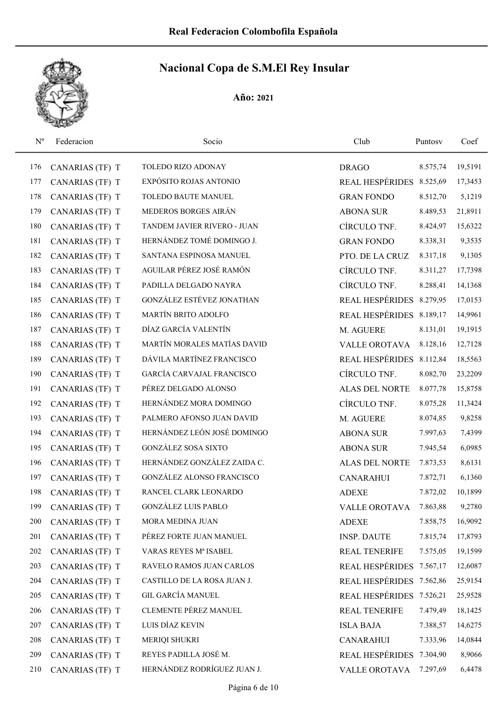

| $N^{o}$ | Federacion      | Socio                       | Club                     | Puntosy  | Coef    |
|---------|-----------------|-----------------------------|--------------------------|----------|---------|
| 176     | CANARIAS (TF) T | TOLEDO RIZO ADONAY          | <b>DRAGO</b>             | 8.575,74 | 19,5191 |
| 177     | CANARIAS (TF) T | EXPÓSITO ROJAS ANTONIO      | <b>REAL HESPÉRIDES</b>   | 8.525,69 | 17,3453 |
| 178     | CANARIAS (TF) T | <b>TOLEDO BAUTE MANUEL</b>  | <b>GRAN FONDO</b>        | 8.512,70 | 5,1219  |
| 179     | CANARIAS (TF) T | MEDEROS BORGES AIRÁN        | <b>ABONA SUR</b>         | 8.489,53 | 21,8911 |
| 180     | CANARIAS (TF) T | TANDEM JAVIER RIVERO - JUAN | CÍRCULO TNF.             | 8.424,97 | 15,6322 |
| 181     | CANARIAS (TF) T | HERNÁNDEZ TOMÉ DOMINGO J.   | <b>GRAN FONDO</b>        | 8.338,31 | 9,3535  |
| 182     | CANARIAS (TF) T | SANTANA ESPINOSA MANUEL     | PTO. DE LA CRUZ          | 8.317,18 | 9,1305  |
| 183     | CANARIAS (TF) T | AGUILAR PÉREZ JOSÉ RAMÓN    | CÍRCULO TNF.             | 8.311,27 | 17,7398 |
| 184     | CANARIAS (TF) T | PADILLA DELGADO NAYRA       | CÍRCULO TNF.             | 8.288,41 | 14,1368 |
| 185     | CANARIAS (TF) T | GONZÁLEZ ESTÉVEZ JONATHAN   | REAL HESPÉRIDES 8.279,95 |          | 17,0153 |
| 186     | CANARIAS (TF) T | MARTÍN BRITO ADOLFO         | REAL HESPÉRIDES 8.189,17 |          | 14,9961 |
| 187     | CANARIAS (TF) T | DÍAZ GARCÍA VALENTÍN        | M. AGUERE                | 8.131,01 | 19,1915 |
| 188     | CANARIAS (TF) T | MARTÍN MORALES MATÍAS DAVID | <b>VALLE OROTAVA</b>     | 8.128,16 | 12,7128 |
| 189     | CANARIAS (TF) T | DÁVILA MARTÍNEZ FRANCISCO   | REAL HESPÉRIDES 8.112,84 |          | 18,5563 |
| 190     | CANARIAS (TF) T | GARCÍA CARVAJAL FRANCISCO   | CÍRCULO TNF.             | 8.082,70 | 23,2209 |
| 191     | CANARIAS (TF) T | PÉREZ DELGADO ALONSO        | <b>ALAS DEL NORTE</b>    | 8.077,78 | 15,8758 |
| 192     | CANARIAS (TF) T | HERNÁNDEZ MORA DOMINGO      | CÍRCULO TNF.             | 8.075,28 | 11,3424 |
| 193     | CANARIAS (TF) T | PALMERO AFONSO JUAN DAVID   | M. AGUERE                | 8.074,85 | 9,8258  |
| 194     | CANARIAS (TF) T | HERNÁNDEZ LEÓN JOSÉ DOMINGO | <b>ABONA SUR</b>         | 7.997,63 | 7,4399  |
| 195     | CANARIAS (TF) T | <b>GONZÁLEZ SOSA SIXTO</b>  | <b>ABONA SUR</b>         | 7.945,54 | 6,0985  |
| 196     | CANARIAS (TF) T | HERNÁNDEZ GONZÁLEZ ZAIDA C. | <b>ALAS DEL NORTE</b>    | 7.873,53 | 8,6131  |
| 197     | CANARIAS (TF) T | GONZÁLEZ ALONSO FRANCISCO   | <b>CANARAHUI</b>         | 7.872,71 | 6,1360  |
| 198     | CANARIAS (TF) T | RANCEL CLARK LEONARDO       | <b>ADEXE</b>             | 7.872,02 | 10,1899 |
| 199     | CANARIAS (TF) T | <b>GONZÁLEZ LUIS PABLO</b>  | <b>VALLE OROTAVA</b>     | 7.863,88 | 9,2780  |
| 200     | CANARIAS (TF) T | MORA MEDINA JUAN            | <b>ADEXE</b>             | 7.858,75 | 16,9092 |
| 201     | CANARIAS (TF) T | PÉREZ FORTE JUAN MANUEL     | <b>INSP. DAUTE</b>       | 7.815,74 | 17,8793 |
| 202     | CANARIAS (TF) T | VARAS REYES Mª ISABEL       | <b>REAL TENERIFE</b>     | 7.575,05 | 19,1599 |
| 203     | CANARIAS (TF) T | RAVELO RAMOS JUAN CARLOS    | REAL HESPÉRIDES 7.567,17 |          | 12,6087 |
| 204     | CANARIAS (TF) T | CASTILLO DE LA ROSA JUAN J. | REAL HESPÉRIDES 7.562,86 |          | 25,9154 |
| 205     | CANARIAS (TF) T | <b>GIL GARCÍA MANUEL</b>    | REAL HESPÉRIDES 7.526,21 |          | 25,9528 |
| 206     | CANARIAS (TF) T | CLEMENTE PÉREZ MANUEL       | REAL TENERIFE            | 7.479,49 | 18,1425 |
| 207     | CANARIAS (TF) T | LUIS DÍAZ KEVIN             | <b>ISLA BAJA</b>         | 7.388,57 | 14,6275 |
| 208     | CANARIAS (TF) T | MERIQI SHUKRI               | <b>CANARAHUI</b>         | 7.333,96 | 14,0844 |
| 209     | CANARIAS (TF) T | REYES PADILLA JOSÉ M.       | REAL HESPÉRIDES 7.304,90 |          | 8,9066  |
| 210     | CANARIAS (TF) T | HERNÁNDEZ RODRÍGUEZ JUAN J. | VALLE OROTAVA            | 7.297,69 | 6,4478  |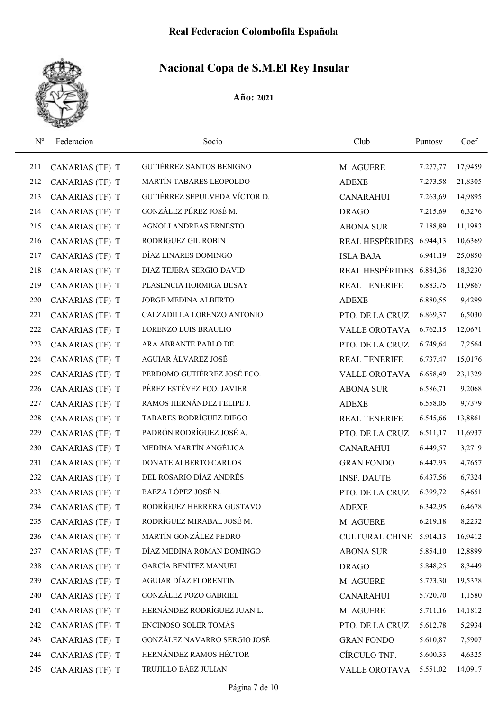

| $N^{o}$ | Federacion      | Socio                           | Club                     | Puntosy  | Coef    |
|---------|-----------------|---------------------------------|--------------------------|----------|---------|
| 211     | CANARIAS (TF) T | <b>GUTIÉRREZ SANTOS BENIGNO</b> | M. AGUERE                | 7.277,77 | 17,9459 |
| 212     | CANARIAS (TF) T | MARTÍN TABARES LEOPOLDO         | <b>ADEXE</b>             | 7.273,58 | 21,8305 |
| 213     | CANARIAS (TF) T | GUTIÉRREZ SEPULVEDA VÍCTOR D.   | <b>CANARAHUI</b>         | 7.263,69 | 14,9895 |
| 214     | CANARIAS (TF) T | GONZÁLEZ PÉREZ JOSÉ M.          | <b>DRAGO</b>             | 7.215,69 | 6,3276  |
| 215     | CANARIAS (TF) T | <b>AGNOLI ANDREAS ERNESTO</b>   | <b>ABONA SUR</b>         | 7.188,89 | 11,1983 |
| 216     | CANARIAS (TF) T | RODRÍGUEZ GIL ROBIN             | REAL HESPÉRIDES 6.944,13 |          | 10,6369 |
| 217     | CANARIAS (TF) T | DÍAZ LINARES DOMINGO            | <b>ISLA BAJA</b>         | 6.941,19 | 25,0850 |
| 218     | CANARIAS (TF) T | DIAZ TEJERA SERGIO DAVID        | <b>REAL HESPÉRIDES</b>   | 6.884,36 | 18,3230 |
| 219     | CANARIAS (TF) T | PLASENCIA HORMIGA BESAY         | <b>REAL TENERIFE</b>     | 6.883,75 | 11,9867 |
| 220     | CANARIAS (TF) T | JORGE MEDINA ALBERTO            | <b>ADEXE</b>             | 6.880,55 | 9,4299  |
| 221     | CANARIAS (TF) T | CALZADILLA LORENZO ANTONIO      | PTO. DE LA CRUZ          | 6.869,37 | 6,5030  |
| 222     | CANARIAS (TF) T | LORENZO LUIS BRAULIO            | <b>VALLE OROTAVA</b>     | 6.762,15 | 12,0671 |
| 223     | CANARIAS (TF) T | ARA ABRANTE PABLO DE            | PTO. DE LA CRUZ          | 6.749,64 | 7,2564  |
| 224     | CANARIAS (TF) T | AGUIAR ÁLVAREZ JOSÉ             | <b>REAL TENERIFE</b>     | 6.737,47 | 15,0176 |
| 225     | CANARIAS (TF) T | PERDOMO GUTIÉRREZ JOSÉ FCO.     | <b>VALLE OROTAVA</b>     | 6.658,49 | 23,1329 |
| 226     | CANARIAS (TF) T | PÉREZ ESTÉVEZ FCO. JAVIER       | <b>ABONA SUR</b>         | 6.586,71 | 9,2068  |
| 227     | CANARIAS (TF) T | RAMOS HERNÁNDEZ FELIPE J.       | <b>ADEXE</b>             | 6.558,05 | 9,7379  |
| 228     | CANARIAS (TF) T | TABARES RODRÍGUEZ DIEGO         | <b>REAL TENERIFE</b>     | 6.545,66 | 13,8861 |
| 229     | CANARIAS (TF) T | PADRÓN RODRÍGUEZ JOSÉ A.        | PTO. DE LA CRUZ          | 6.511,17 | 11,6937 |
| 230     | CANARIAS (TF) T | MEDINA MARTÍN ANGÉLICA          | <b>CANARAHUI</b>         | 6.449,57 | 3,2719  |
| 231     | CANARIAS (TF) T | DONATE ALBERTO CARLOS           | <b>GRAN FONDO</b>        | 6.447,93 | 4,7657  |
| 232     | CANARIAS (TF) T | DEL ROSARIO DÍAZ ANDRÉS         | <b>INSP. DAUTE</b>       | 6.437,56 | 6,7324  |
| 233     | CANARIAS (TF) T | BAEZA LÓPEZ JOSÉ N.             | PTO. DE LA CRUZ          | 6.399,72 | 5,4651  |
| 234     | CANARIAS (TF) T | RODRÍGUEZ HERRERA GUSTAVO       | <b>ADEXE</b>             | 6.342,95 | 6,4678  |
| 235     | CANARIAS (TF) T | RODRÍGUEZ MIRABAL JOSÉ M.       | M. AGUERE                | 6.219,18 | 8,2232  |
| 236     | CANARIAS (TF) T | MARTÍN GONZÁLEZ PEDRO           | <b>CULTURAL CHINE</b>    | 5.914,13 | 16,9412 |
| 237     | CANARIAS (TF) T | DÍAZ MEDINA ROMÁN DOMINGO       | <b>ABONA SUR</b>         | 5.854,10 | 12,8899 |
| 238     | CANARIAS (TF) T | GARCÍA BENÍTEZ MANUEL           | <b>DRAGO</b>             | 5.848,25 | 8,3449  |
| 239     | CANARIAS (TF) T | <b>AGUIAR DÍAZ FLORENTIN</b>    | M. AGUERE                | 5.773,30 | 19,5378 |
| 240     | CANARIAS (TF) T | <b>GONZÁLEZ POZO GABRIEL</b>    | <b>CANARAHUI</b>         | 5.720,70 | 1,1580  |
| 241     | CANARIAS (TF) T | HERNÁNDEZ RODRÍGUEZ JUAN L.     | M. AGUERE                | 5.711,16 | 14,1812 |
| 242     | CANARIAS (TF) T | ENCINOSO SOLER TOMÁS            | PTO. DE LA CRUZ          | 5.612,78 | 5,2934  |
| 243     | CANARIAS (TF) T | GONZÁLEZ NAVARRO SERGIO JOSÉ    | <b>GRAN FONDO</b>        | 5.610,87 | 7,5907  |
| 244     | CANARIAS (TF) T | HERNÁNDEZ RAMOS HÉCTOR          | CÍRCULO TNF.             | 5.600,33 | 4,6325  |
| 245     | CANARIAS (TF) T | TRUJILLO BÁEZ JULIÁN            | VALLE OROTAVA            | 5.551,02 | 14,0917 |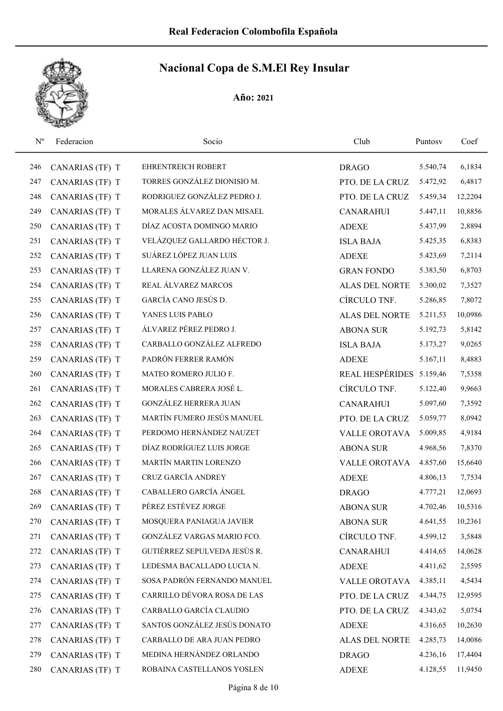

| $N^{o}$ | Federacion      | Socio                        | Club                   | Puntosy  | Coef    |
|---------|-----------------|------------------------------|------------------------|----------|---------|
| 246     | CANARIAS (TF) T | <b>EHRENTREICH ROBERT</b>    | <b>DRAGO</b>           | 5.540,74 | 6,1834  |
| 247     | CANARIAS (TF) T | TORRES GONZÁLEZ DIONISIO M.  | PTO. DE LA CRUZ        | 5.472,92 | 6,4817  |
| 248     | CANARIAS (TF) T | RODRIGUEZ GONZÁLEZ PEDRO J.  | PTO. DE LA CRUZ        | 5.459,34 | 12,2204 |
| 249     | CANARIAS (TF) T | MORALES ÁLVAREZ DAN MISAEL   | <b>CANARAHUI</b>       | 5.447,11 | 10,8856 |
| 250     | CANARIAS (TF) T | DÍAZ ACOSTA DOMINGO MARIO    | <b>ADEXE</b>           | 5.437,99 | 2,8894  |
| 251     | CANARIAS (TF) T | VELÁZQUEZ GALLARDO HÉCTOR J. | <b>ISLA BAJA</b>       | 5.425,35 | 6,8383  |
| 252     | CANARIAS (TF) T | SUÁREZ LÓPEZ JUAN LUIS       | <b>ADEXE</b>           | 5.423,69 | 7,2114  |
| 253     | CANARIAS (TF) T | LLARENA GONZÁLEZ JUAN V.     | <b>GRAN FONDO</b>      | 5.383,50 | 6,8703  |
| 254     | CANARIAS (TF) T | REAL ÁLVAREZ MARCOS          | <b>ALAS DEL NORTE</b>  | 5.300,02 | 7,3527  |
| 255     | CANARIAS (TF) T | GARCÍA CANO JESÚS D.         | CÍRCULO TNF.           | 5.286,85 | 7,8072  |
| 256     | CANARIAS (TF) T | YANES LUIS PABLO             | ALAS DEL NORTE         | 5.211,53 | 10,0986 |
| 257     | CANARIAS (TF) T | ÁLVAREZ PÉREZ PEDRO J.       | <b>ABONA SUR</b>       | 5.192,73 | 5,8142  |
| 258     | CANARIAS (TF) T | CARBALLO GONZÁLEZ ALFREDO    | <b>ISLA BAJA</b>       | 5.173,27 | 9,0265  |
| 259     | CANARIAS (TF) T | PADRÓN FERRER RAMÓN          | <b>ADEXE</b>           | 5.167,11 | 8,4883  |
| 260     | CANARIAS (TF) T | MATEO ROMERO JULIO F.        | <b>REAL HESPÉRIDES</b> | 5.159,46 | 7,5358  |
| 261     | CANARIAS (TF) T | MORALES CABRERA JOSÉ L.      | CÍRCULO TNF.           | 5.122,40 | 9,9663  |
| 262     | CANARIAS (TF) T | GONZÁLEZ HERRERA JUAN        | <b>CANARAHUI</b>       | 5.097,60 | 7,3592  |
| 263     | CANARIAS (TF) T | MARTÍN FUMERO JESÚS MANUEL   | PTO. DE LA CRUZ        | 5.059,77 | 8,0942  |
| 264     | CANARIAS (TF) T | PERDOMO HERNÁNDEZ NAUZET     | <b>VALLE OROTAVA</b>   | 5.009,85 | 4,9184  |
| 265     | CANARIAS (TF) T | DÍAZ RODRÍGUEZ LUIS JORGE    | <b>ABONA SUR</b>       | 4.968,56 | 7,8370  |
| 266     | CANARIAS (TF) T | MARTÍN MARTIN LORENZO        | VALLE OROTAVA          | 4.857,60 | 15,6640 |
| 267     | CANARIAS (TF) T | CRUZ GARCÍA ANDREY           | <b>ADEXE</b>           | 4.806,13 | 7,7534  |
| 268     | CANARIAS (TF) T | CABALLERO GARCÍA ÁNGEL       | <b>DRAGO</b>           | 4.777,21 | 12,0693 |
| 269     | CANARIAS (TF) T | PÉREZ ESTÉVEZ JORGE          | <b>ABONA SUR</b>       | 4.702,46 | 10,5316 |
| 270     | CANARIAS (TF) T | MOSQUERA PANIAGUA JAVIER     | <b>ABONA SUR</b>       | 4.641,55 | 10,2361 |
| 271     | CANARIAS (TF) T | GONZÁLEZ VARGAS MARIO FCO.   | CÍRCULO TNF.           | 4.599,12 | 3,5848  |
| 272     | CANARIAS (TF) T | GUTIÉRREZ SEPULVEDA JESÚS R. | <b>CANARAHUI</b>       | 4.414,65 | 14,0628 |
| 273     | CANARIAS (TF) T | LEDESMA BACALLADO LUCIA N.   | <b>ADEXE</b>           | 4.411,62 | 2,5595  |
| 274     | CANARIAS (TF) T | SOSA PADRÓN FERNANDO MANUEL  | VALLE OROTAVA          | 4.385,11 | 4,5434  |
| 275     | CANARIAS (TF) T | CARRILLO DÉVORA ROSA DE LAS  | PTO. DE LA CRUZ        | 4.344,75 | 12,9595 |
| 276     | CANARIAS (TF) T | CARBALLO GARCÍA CLAUDIO      | PTO. DE LA CRUZ        | 4.343,62 | 5,0754  |
| 277     | CANARIAS (TF) T | SANTOS GONZÁLEZ JESÚS DONATO | <b>ADEXE</b>           | 4.316,65 | 10,2630 |
| 278     | CANARIAS (TF) T | CARBALLO DE ARA JUAN PEDRO   | ALAS DEL NORTE         | 4.285,73 | 14,0086 |
| 279     | CANARIAS (TF) T | MEDINA HERNÁNDEZ ORLANDO     | <b>DRAGO</b>           | 4.236,16 | 17,4404 |
| 280     | CANARIAS (TF) T | ROBAINA CASTELLANOS YOSLEN   | <b>ADEXE</b>           | 4.128,55 | 11,9450 |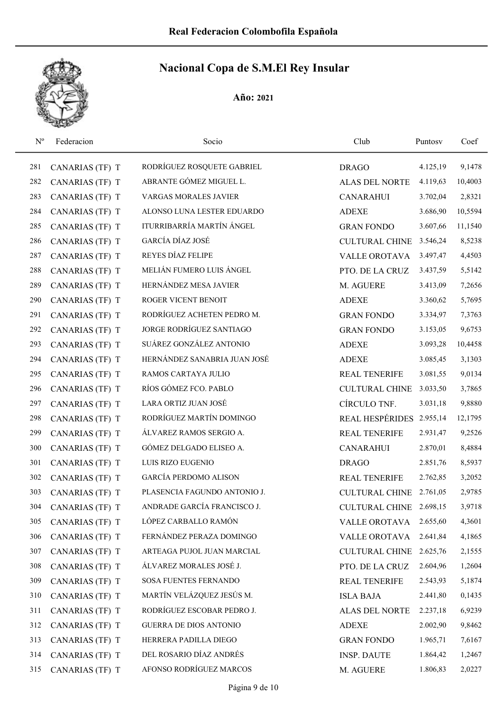| $N^{o}$ | Federacion      | Socio                         | Club                     | Puntosy  | Coef    |
|---------|-----------------|-------------------------------|--------------------------|----------|---------|
| 281     | CANARIAS (TF) T | RODRÍGUEZ ROSQUETE GABRIEL    | <b>DRAGO</b>             | 4.125,19 | 9,1478  |
| 282     | CANARIAS (TF) T | ABRANTE GÓMEZ MIGUEL L.       | <b>ALAS DEL NORTE</b>    | 4.119,63 | 10,4003 |
| 283     | CANARIAS (TF) T | <b>VARGAS MORALES JAVIER</b>  | <b>CANARAHUI</b>         | 3.702,04 | 2,8321  |
| 284     | CANARIAS (TF) T | ALONSO LUNA LESTER EDUARDO    | <b>ADEXE</b>             | 3.686,90 | 10,5594 |
| 285     | CANARIAS (TF) T | ITURRIBARRÍA MARTÍN ÁNGEL     | <b>GRAN FONDO</b>        | 3.607,66 | 11,1540 |
| 286     | CANARIAS (TF) T | GARCÍA DÍAZ JOSÉ              | <b>CULTURAL CHINE</b>    | 3.546,24 | 8,5238  |
| 287     | CANARIAS (TF) T | REYES DÍAZ FELIPE             | <b>VALLE OROTAVA</b>     | 3.497,47 | 4,4503  |
| 288     | CANARIAS (TF) T | MELIÁN FUMERO LUIS ÁNGEL      | PTO. DE LA CRUZ          | 3.437,59 | 5,5142  |
| 289     | CANARIAS (TF) T | HERNÁNDEZ MESA JAVIER         | M. AGUERE                | 3.413,09 | 7,2656  |
| 290     | CANARIAS (TF) T | ROGER VICENT BENOIT           | <b>ADEXE</b>             | 3.360,62 | 5,7695  |
| 291     | CANARIAS (TF) T | RODRÍGUEZ ACHETEN PEDRO M.    | <b>GRAN FONDO</b>        | 3.334,97 | 7,3763  |
| 292     | CANARIAS (TF) T | JORGE RODRÍGUEZ SANTIAGO      | <b>GRAN FONDO</b>        | 3.153,05 | 9,6753  |
| 293     | CANARIAS (TF) T | SUÁREZ GONZÁLEZ ANTONIO       | <b>ADEXE</b>             | 3.093,28 | 10,4458 |
| 294     | CANARIAS (TF) T | HERNÁNDEZ SANABRIA JUAN JOSÉ  | <b>ADEXE</b>             | 3.085,45 | 3,1303  |
| 295     | CANARIAS (TF) T | RAMOS CARTAYA JULIO           | <b>REAL TENERIFE</b>     | 3.081,55 | 9,0134  |
| 296     | CANARIAS (TF) T | RÍOS GÓMEZ FCO. PABLO         | <b>CULTURAL CHINE</b>    | 3.033,50 | 3,7865  |
| 297     | CANARIAS (TF) T | LARA ORTIZ JUAN JOSÉ          | CÍRCULO TNF.             | 3.031,18 | 9,8880  |
| 298     | CANARIAS (TF) T | RODRÍGUEZ MARTÍN DOMINGO      | REAL HESPÉRIDES 2.955,14 |          | 12,1795 |
| 299     | CANARIAS (TF) T | ÁLVAREZ RAMOS SERGIO A.       | <b>REAL TENERIFE</b>     | 2.931,47 | 9,2526  |
| 300     | CANARIAS (TF) T | GÓMEZ DELGADO ELISEO A.       | <b>CANARAHUI</b>         | 2.870,01 | 8,4884  |
| 301     | CANARIAS (TF) T | LUIS RIZO EUGENIO             | <b>DRAGO</b>             | 2.851,76 | 8,5937  |
| 302     | CANARIAS (TF) T | <b>GARCÍA PERDOMO ALISON</b>  | <b>REAL TENERIFE</b>     | 2.762,85 | 3,2052  |
| 303     | CANARIAS (TF) T | PLASENCIA FAGUNDO ANTONIO J.  | CULTURAL CHINE 2.761,05  |          | 2,9785  |
| 304     | CANARIAS (TF) T | ANDRADE GARCÍA FRANCISCO J.   | CULTURAL CHINE 2.698,15  |          | 3,9718  |
| 305     | CANARIAS (TF) T | LÓPEZ CARBALLO RAMÓN          | VALLE OROTAVA            | 2.655,60 | 4,3601  |
| 306     | CANARIAS (TF) T | FERNÁNDEZ PERAZA DOMINGO      | VALLE OROTAVA            | 2.641,84 | 4,1865  |
| 307     | CANARIAS (TF) T | ARTEAGA PUJOL JUAN MARCIAL    | <b>CULTURAL CHINE</b>    | 2.625,76 | 2,1555  |
| 308     | CANARIAS (TF) T | ÁLVAREZ MORALES JOSÉ J.       | PTO. DE LA CRUZ          | 2.604,96 | 1,2604  |
| 309     | CANARIAS (TF) T | SOSA FUENTES FERNANDO         | <b>REAL TENERIFE</b>     | 2.543,93 | 5,1874  |
| 310     | CANARIAS (TF) T | MARTÍN VELÁZQUEZ JESÚS M.     | <b>ISLA BAJA</b>         | 2.441,80 | 0,1435  |
| 311     | CANARIAS (TF) T | RODRÍGUEZ ESCOBAR PEDRO J.    | ALAS DEL NORTE           | 2.237,18 | 6,9239  |
| 312     | CANARIAS (TF) T | <b>GUERRA DE DIOS ANTONIO</b> | <b>ADEXE</b>             | 2.002,90 | 9,8462  |
| 313     | CANARIAS (TF) T | HERRERA PADILLA DIEGO         | <b>GRAN FONDO</b>        | 1.965,71 | 7,6167  |
| 314     | CANARIAS (TF) T | DEL ROSARIO DÍAZ ANDRÉS       | <b>INSP. DAUTE</b>       | 1.864,42 | 1,2467  |
| 315     | CANARIAS (TF) T | AFONSO RODRÍGUEZ MARCOS       | M. AGUERE                | 1.806,83 | 2,0227  |